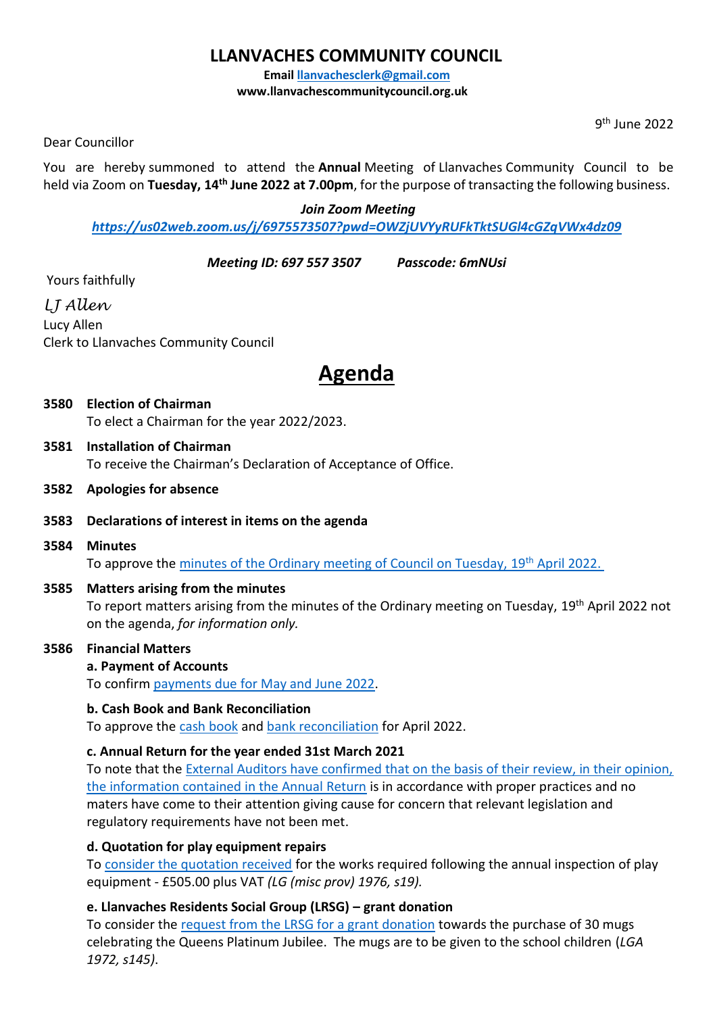# **LLANVACHES COMMUNITY COUNCIL**

**Email [llanvachesclerk@gmail.com](mailto:llanvachesclerk@gmail.com)**

**www.llanvachescommunitycouncil.org.uk** 

9 th June 2022

Dear Councillor

You are hereby summoned to attend the **Annual** Meeting of Llanvaches Community Council to be held via Zoom on **Tuesday, 14th June 2022 at 7.00pm**, for the purpose of transacting the following business.

#### *Join Zoom Meeting*

# *<https://us02web.zoom.us/j/6975573507?pwd=OWZjUVYyRUFkTktSUGl4cGZqVWx4dz09>*

*Meeting ID: 697 557 3507 Passcode: 6mNUsi*

Yours faithfully

*LJ Allen* Lucy Allen Clerk to Llanvaches Community Council

# **Agenda**

**3580 Election of Chairman** To elect a Chairman for the year 2022/2023.

- **3581 Installation of Chairman** To receive the Chairman's Declaration of Acceptance of Office.
- **3582 Apologies for absence**
- **3583 Declarations of interest in items on the agenda**
- **3584 Minutes** To approve the [minutes of the Ordinary meeting of Council on Tuesday,](http://www.llanvachescommunitycouncil.org.uk/_UserFiles/Files/_Minutes/143646-Minutes_-_19th_April_2022.pdf) 19<sup>th</sup> April 2022.

# **3585 Matters arising from the minutes**

To report matters arising from the minutes of the Ordinary meeting on Tuesday, 19<sup>th</sup> April 2022 not on the agenda, *for information only.*

# **3586 Financial Matters**

# **a. Payment of Accounts**

To confirm [payments due for May and June](https://drive.google.com/file/d/1i_usAkMa23egMFid1tZF5vUv59VbXvn4/view?usp=sharing) 2022.

# **b. Cash Book and Bank Reconciliation**

To approve the [cash book](https://drive.google.com/file/d/1v6aTKJkHOhqJXNO1NlqII0vEYK8ElhK-/view?usp=sharing) and [bank reconciliation](https://drive.google.com/file/d/1csHQb3bvFCV5PUA9xi1vjP2UVRNA6ydH/view?usp=sharing) for April 2022.

# **c. Annual Return for the year ended 31st March 2021**

To note that the [External Auditors have confirmed that on the basis of their review, in their opinion,](https://drive.google.com/file/d/1-AE4iuz3-2bAbUy7429vZsIhwQ2OkKNl/view?usp=sharing)  [the information contained in the Annual Return](https://drive.google.com/file/d/1-AE4iuz3-2bAbUy7429vZsIhwQ2OkKNl/view?usp=sharing) is in accordance with proper practices and no maters have come to their attention giving cause for concern that relevant legislation and regulatory requirements have not been met.

# **d. Quotation for play equipment repairs**

To [consider the quotation received](https://drive.google.com/file/d/1eGSRwcAFa1euoxV_1uTzITTuQmG7KUcf/view?usp=sharing) for the works required following the annual inspection of play equipment - £505.00 plus VAT *(LG (misc prov) 1976, s19).*

# **e. Llanvaches Residents Social Group (LRSG) – grant donation**

To consider the [request from the LRSG for a grant donation](https://drive.google.com/file/d/1z_j2g-MKZVIhCzYW4HdXVK0EYjNEpaTl/view?usp=sharing) towards the purchase of 30 mugs celebrating the Queens Platinum Jubilee. The mugs are to be given to the school children (*LGA 1972, s145)*.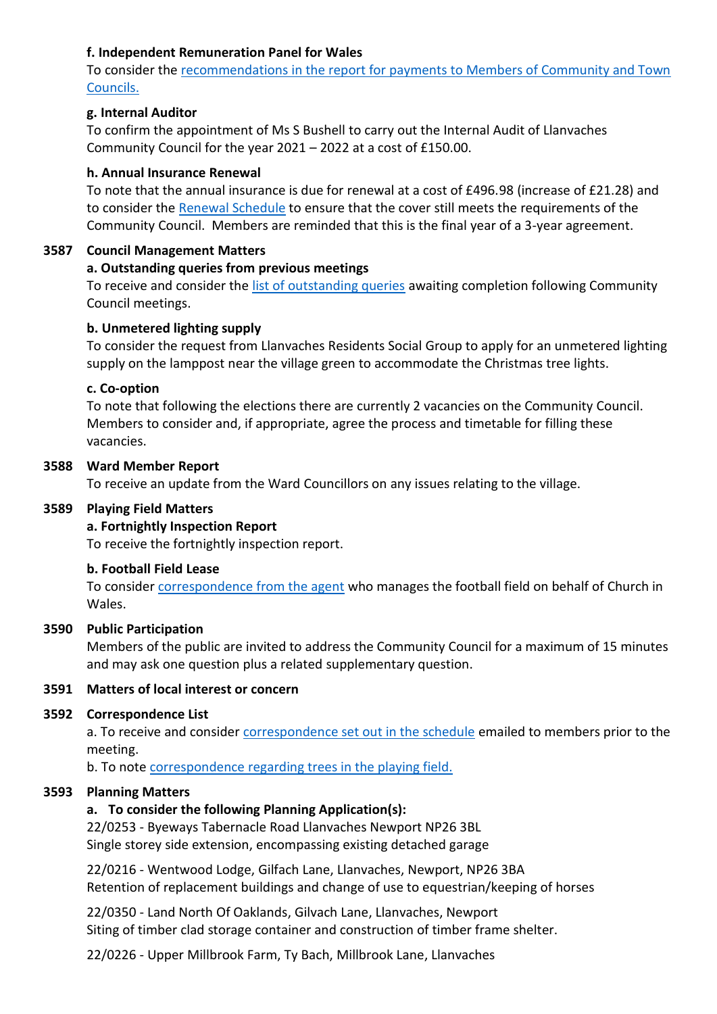# **f. Independent Remuneration Panel for Wales**

To consider the [recommendations in the report for payments to Members of Community and Town](https://drive.google.com/file/d/1fQw_qOgzh2H4sJ7wIxoBRQDmawcu4dvw/view?usp=sharing)  [Councils.](https://drive.google.com/file/d/1fQw_qOgzh2H4sJ7wIxoBRQDmawcu4dvw/view?usp=sharing)

# **g. Internal Auditor**

To confirm the appointment of Ms S Bushell to carry out the Internal Audit of Llanvaches Community Council for the year 2021 – 2022 at a cost of £150.00.

### **h. Annual Insurance Renewal**

To note that the annual insurance is due for renewal at a cost of £496.98 (increase of £21.28) and to consider the [Renewal Schedule](https://drive.google.com/file/d/1nqky0imunl3wgpWAKlNp-ROex-F4NbaZ/view?usp=sharing) to ensure that the cover still meets the requirements of the Community Council. Members are reminded that this is the final year of a 3-year agreement.

#### **3587 Council Management Matters**

#### **a. Outstanding queries from previous meetings**

To receive and consider the [list of outstanding queries](https://drive.google.com/file/d/1KGzP7M6_T814Y9K9vCF2SUJlGe6ppSJd/view?usp=sharing) awaiting completion following Community Council meetings.

#### **b. Unmetered lighting supply**

To consider the request from Llanvaches Residents Social Group to apply for an unmetered lighting supply on the lamppost near the village green to accommodate the Christmas tree lights.

#### **c. Co-option**

To note that following the elections there are currently 2 vacancies on the Community Council. Members to consider and, if appropriate, agree the process and timetable for filling these vacancies.

#### **3588 Ward Member Report**

To receive an update from the Ward Councillors on any issues relating to the village.

### **3589 Playing Field Matters**

# **a. Fortnightly Inspection Report**

To receive the fortnightly inspection report.

# **b. Football Field Lease**

To consider [correspondence from the agent](https://drive.google.com/file/d/1vb5R0j6CGPlb7tveXWwOfzReSRDNBe7T/view?usp=sharing) who manages the football field on behalf of Church in Wales.

# **3590 Public Participation**

Members of the public are invited to address the Community Council for a maximum of 15 minutes and may ask one question plus a related supplementary question.

#### **3591 Matters of local interest or concern**

#### **3592 Correspondence List**

a. To receive and consider [correspondence set out in the schedule](https://drive.google.com/file/d/1ITTIoZJiq_9aeIV8J1B9lLPapW69J8jv/view?usp=sharing) emailed to members prior to the meeting.

b. To note [correspondence regarding trees in the playing field.](https://drive.google.com/file/d/1pqluEZesGt9t5rgatQeBF8_aIOUja2Az/view?usp=sharing)

#### **3593 Planning Matters**

# **a. To consider the following Planning Application(s):**

22/0253 - Byeways Tabernacle Road Llanvaches Newport NP26 3BL Single storey side extension, encompassing existing detached garage

22/0216 - Wentwood Lodge, Gilfach Lane, Llanvaches, Newport, NP26 3BA Retention of replacement buildings and change of use to equestrian/keeping of horses

22/0350 - Land North Of Oaklands, Gilvach Lane, Llanvaches, Newport Siting of timber clad storage container and construction of timber frame shelter.

22/0226 - Upper Millbrook Farm, Ty Bach, Millbrook Lane, Llanvaches